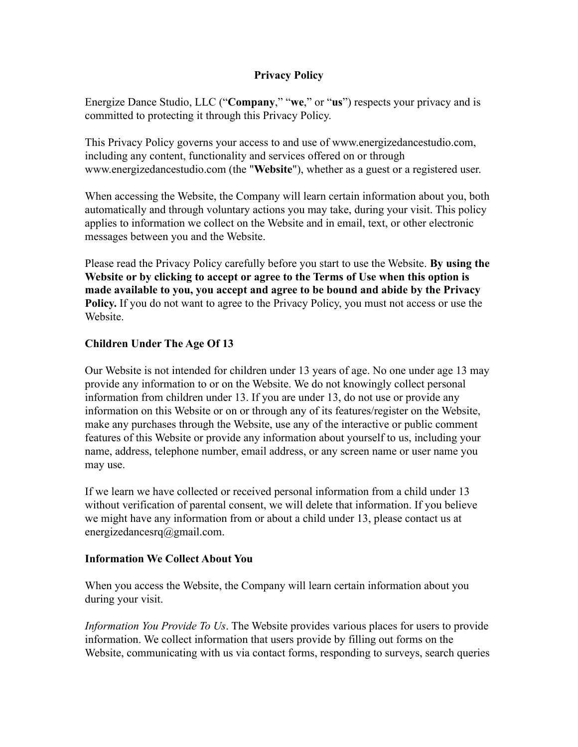## **Privacy Policy**

Energize Dance Studio, LLC ("**Company**," "**we**," or "**us**") respects your privacy and is committed to protecting it through this Privacy Policy.

This Privacy Policy governs your access to and use of www.energizedancestudio.com, including any content, functionality and services offered on or through www.energizedancestudio.com (the "**Website**"), whether as a guest or a registered user.

When accessing the Website, the Company will learn certain information about you, both automatically and through voluntary actions you may take, during your visit. This policy applies to information we collect on the Website and in email, text, or other electronic messages between you and the Website.

Please read the Privacy Policy carefully before you start to use the Website. **By using the Website or by clicking to accept or agree to the Terms of Use when this option is made available to you, you accept and agree to be bound and abide by the Privacy Policy.** If you do not want to agree to the Privacy Policy, you must not access or use the **Website** 

# **Children Under The Age Of 13**

Our Website is not intended for children under 13 years of age. No one under age 13 may provide any information to or on the Website. We do not knowingly collect personal information from children under 13. If you are under 13, do not use or provide any information on this Website or on or through any of its features/register on the Website, make any purchases through the Website, use any of the interactive or public comment features of this Website or provide any information about yourself to us, including your name, address, telephone number, email address, or any screen name or user name you may use.

If we learn we have collected or received personal information from a child under 13 without verification of parental consent, we will delete that information. If you believe we might have any information from or about a child under 13, please contact us at energizedancesrq@gmail.com.

### **Information We Collect About You**

When you access the Website, the Company will learn certain information about you during your visit.

*Information You Provide To Us*. The Website provides various places for users to provide information. We collect information that users provide by filling out forms on the Website, communicating with us via contact forms, responding to surveys, search queries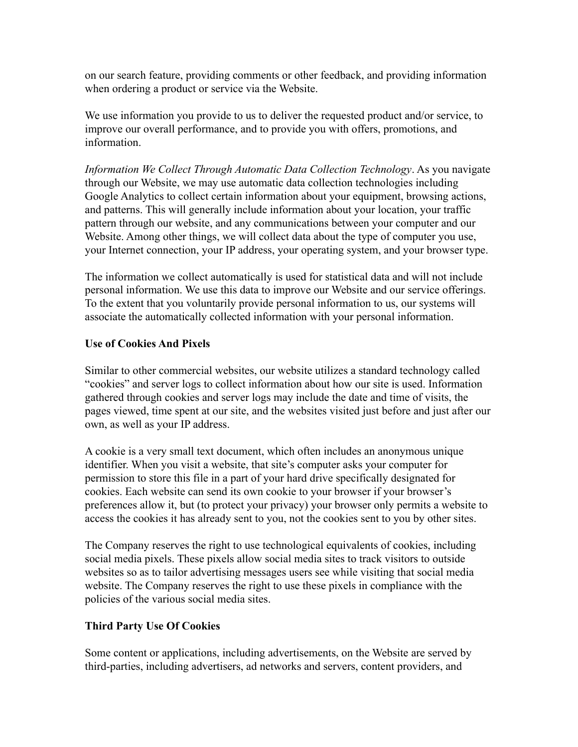on our search feature, providing comments or other feedback, and providing information when ordering a product or service via the Website.

We use information you provide to us to deliver the requested product and/or service, to improve our overall performance, and to provide you with offers, promotions, and information.

*Information We Collect Through Automatic Data Collection Technology*. As you navigate through our Website, we may use automatic data collection technologies including Google Analytics to collect certain information about your equipment, browsing actions, and patterns. This will generally include information about your location, your traffic pattern through our website, and any communications between your computer and our Website. Among other things, we will collect data about the type of computer you use, your Internet connection, your IP address, your operating system, and your browser type.

The information we collect automatically is used for statistical data and will not include personal information. We use this data to improve our Website and our service offerings. To the extent that you voluntarily provide personal information to us, our systems will associate the automatically collected information with your personal information.

### **Use of Cookies And Pixels**

Similar to other commercial websites, our website utilizes a standard technology called "cookies" and server logs to collect information about how our site is used. Information gathered through cookies and server logs may include the date and time of visits, the pages viewed, time spent at our site, and the websites visited just before and just after our own, as well as your IP address.

A cookie is a very small text document, which often includes an anonymous unique identifier. When you visit a website, that site's computer asks your computer for permission to store this file in a part of your hard drive specifically designated for cookies. Each website can send its own cookie to your browser if your browser's preferences allow it, but (to protect your privacy) your browser only permits a website to access the cookies it has already sent to you, not the cookies sent to you by other sites.

The Company reserves the right to use technological equivalents of cookies, including social media pixels. These pixels allow social media sites to track visitors to outside websites so as to tailor advertising messages users see while visiting that social media website. The Company reserves the right to use these pixels in compliance with the policies of the various social media sites.

### **Third Party Use Of Cookies**

Some content or applications, including advertisements, on the Website are served by third-parties, including advertisers, ad networks and servers, content providers, and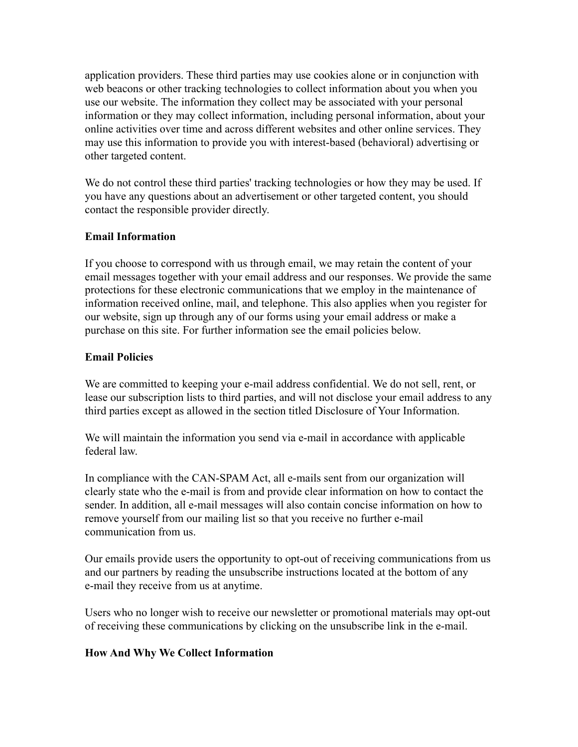application providers. These third parties may use cookies alone or in conjunction with web beacons or other tracking technologies to collect information about you when you use our website. The information they collect may be associated with your personal information or they may collect information, including personal information, about your online activities over time and across different websites and other online services. They may use this information to provide you with interest-based (behavioral) advertising or other targeted content.

We do not control these third parties' tracking technologies or how they may be used. If you have any questions about an advertisement or other targeted content, you should contact the responsible provider directly.

# **Email Information**

If you choose to correspond with us through email, we may retain the content of your email messages together with your email address and our responses. We provide the same protections for these electronic communications that we employ in the maintenance of information received online, mail, and telephone. This also applies when you register for our website, sign up through any of our forms using your email address or make a purchase on this site. For further information see the email policies below.

# **Email Policies**

We are committed to keeping your e-mail address confidential. We do not sell, rent, or lease our subscription lists to third parties, and will not disclose your email address to any third parties except as allowed in the section titled Disclosure of Your Information.

We will maintain the information you send via e-mail in accordance with applicable federal law.

In compliance with the CAN-SPAM Act, all e-mails sent from our organization will clearly state who the e-mail is from and provide clear information on how to contact the sender. In addition, all e-mail messages will also contain concise information on how to remove yourself from our mailing list so that you receive no further e-mail communication from us.

Our emails provide users the opportunity to opt-out of receiving communications from us and our partners by reading the unsubscribe instructions located at the bottom of any e-mail they receive from us at anytime.

Users who no longer wish to receive our newsletter or promotional materials may opt-out of receiving these communications by clicking on the unsubscribe link in the e-mail.

### **How And Why We Collect Information**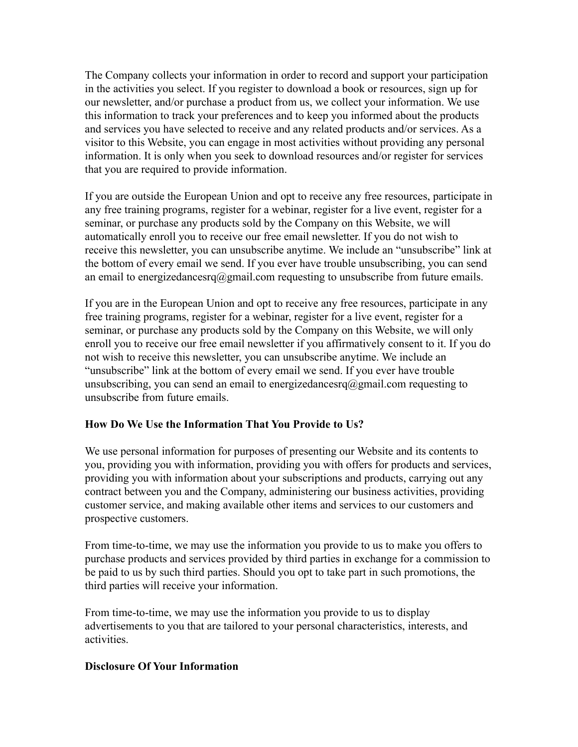The Company collects your information in order to record and support your participation in the activities you select. If you register to download a book or resources, sign up for our newsletter, and/or purchase a product from us, we collect your information. We use this information to track your preferences and to keep you informed about the products and services you have selected to receive and any related products and/or services. As a visitor to this Website, you can engage in most activities without providing any personal information. It is only when you seek to download resources and/or register for services that you are required to provide information.

If you are outside the European Union and opt to receive any free resources, participate in any free training programs, register for a webinar, register for a live event, register for a seminar, or purchase any products sold by the Company on this Website, we will automatically enroll you to receive our free email newsletter. If you do not wish to receive this newsletter, you can unsubscribe anytime. We include an "unsubscribe" link at the bottom of every email we send. If you ever have trouble unsubscribing, you can send an email to energizedancesrq@gmail.com requesting to unsubscribe from future emails.

If you are in the European Union and opt to receive any free resources, participate in any free training programs, register for a webinar, register for a live event, register for a seminar, or purchase any products sold by the Company on this Website, we will only enroll you to receive our free email newsletter if you affirmatively consent to it. If you do not wish to receive this newsletter, you can unsubscribe anytime. We include an "unsubscribe" link at the bottom of every email we send. If you ever have trouble unsubscribing, you can send an email to energizedancesrq@gmail.com requesting to unsubscribe from future emails.

### **How Do We Use the Information That You Provide to Us?**

We use personal information for purposes of presenting our Website and its contents to you, providing you with information, providing you with offers for products and services, providing you with information about your subscriptions and products, carrying out any contract between you and the Company, administering our business activities, providing customer service, and making available other items and services to our customers and prospective customers.

From time-to-time, we may use the information you provide to us to make you offers to purchase products and services provided by third parties in exchange for a commission to be paid to us by such third parties. Should you opt to take part in such promotions, the third parties will receive your information.

From time-to-time, we may use the information you provide to us to display advertisements to you that are tailored to your personal characteristics, interests, and activities.

#### **Disclosure Of Your Information**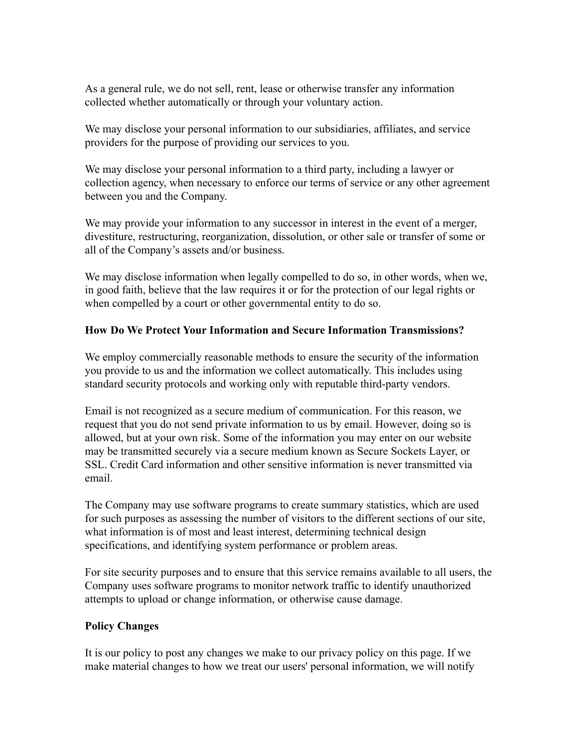As a general rule, we do not sell, rent, lease or otherwise transfer any information collected whether automatically or through your voluntary action.

We may disclose your personal information to our subsidiaries, affiliates, and service providers for the purpose of providing our services to you.

We may disclose your personal information to a third party, including a lawyer or collection agency, when necessary to enforce our terms of service or any other agreement between you and the Company.

We may provide your information to any successor in interest in the event of a merger, divestiture, restructuring, reorganization, dissolution, or other sale or transfer of some or all of the Company's assets and/or business.

We may disclose information when legally compelled to do so, in other words, when we, in good faith, believe that the law requires it or for the protection of our legal rights or when compelled by a court or other governmental entity to do so.

### **How Do We Protect Your Information and Secure Information Transmissions?**

We employ commercially reasonable methods to ensure the security of the information you provide to us and the information we collect automatically. This includes using standard security protocols and working only with reputable third-party vendors.

Email is not recognized as a secure medium of communication. For this reason, we request that you do not send private information to us by email. However, doing so is allowed, but at your own risk. Some of the information you may enter on our website may be transmitted securely via a secure medium known as Secure Sockets Layer, or SSL. Credit Card information and other sensitive information is never transmitted via email.

The Company may use software programs to create summary statistics, which are used for such purposes as assessing the number of visitors to the different sections of our site, what information is of most and least interest, determining technical design specifications, and identifying system performance or problem areas.

For site security purposes and to ensure that this service remains available to all users, the Company uses software programs to monitor network traffic to identify unauthorized attempts to upload or change information, or otherwise cause damage.

### **Policy Changes**

It is our policy to post any changes we make to our privacy policy on this page. If we make material changes to how we treat our users' personal information, we will notify